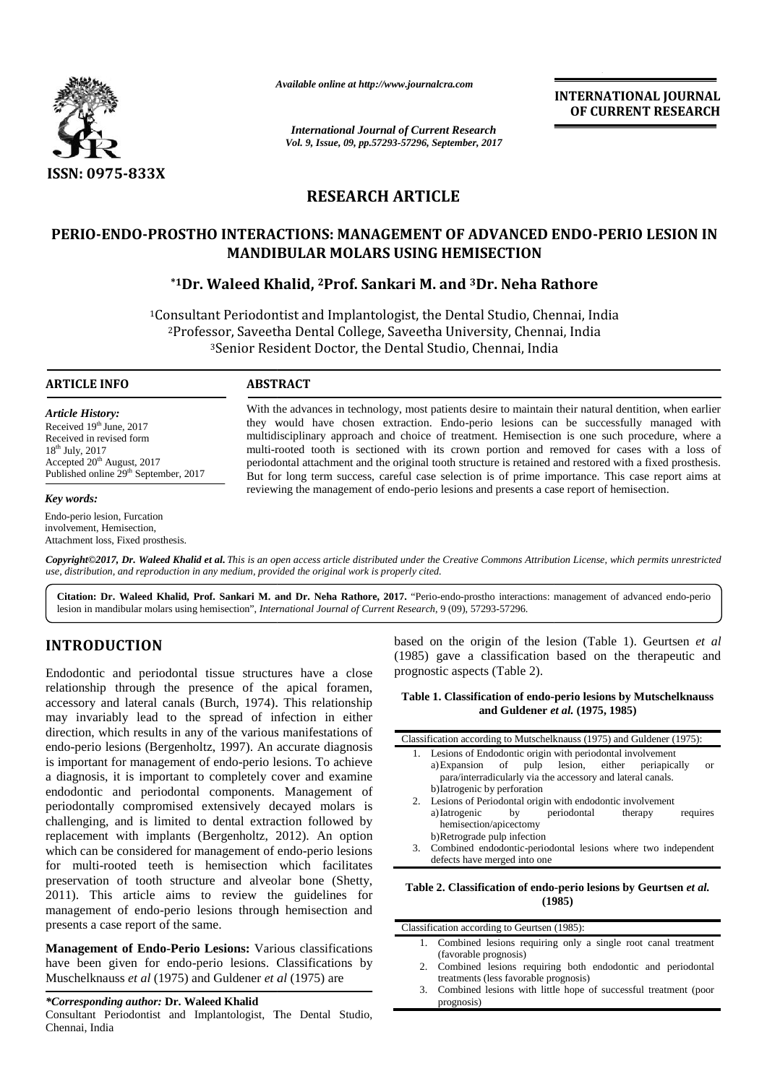

*Available online at http://www.journalcra.com*

*International Journal of Current Research Vol. 9, Issue, 09, pp.57293-57296, September, 2017*

**INTERNATIONAL JOURNAL OF CURRENT RESEARCH INTERNATIONAL**<br>OF CURRENT F<br>*of Current Research* 

# **RESEARCH ARTICLE**

# **PERIO-ENDO-PROSTHO INTERACTIONS: MANAGEMENT OF ADVANCED ENDO-PERIO LESION IN MANDIBULAR MOLARS USING HEMISECTION MOLARS USING HEMISECTION**

# **\*1Dr. Waleed Khalid, <sup>2</sup>Prof. Sankari M. and <sup>3</sup>Dr. Neha Rathore Dr. Waleed <sup>3</sup>Dr.**

<sup>1</sup>Consultant Periodontist and Implantologist, the Dental Studio, Chennai, India Periodontist Dental Studio, India<sup>2</sup>Professor, Saveetha Dental College, Saveetha University, Chennai, India <sup>2</sup>Professor, Saveetha Dental College, Saveetha University, Chennai, India<br><sup>3</sup>Senior Resident Doctor, the Dental Studio, Chennai, India

## **ARTICLE INFO**

*Article History:* Received  $19<sup>th</sup>$  June, 2017 Received in revised form  $18^{th}$  July, 2017 Received in revised form<br>18<sup>th</sup> July, 2017<br>Accepted 20<sup>th</sup> August, 2017 Published online 29<sup>th</sup> September, 2017

#### *Key words:*

Endo-perio lesion, Furcation involvement, Hemisection, Attachment loss, Fixed prosthesis.

With the advances in technology, most patients desire to maintain their natural dentition, when earlier they would have chosen extraction. Endo-perio lesions can be successfully managed with multidisciplinary approach and choice of treatment. Hemisection is one such procedure, where a multi-rooted tooth is sectioned with its crown portion and removed for cases with a loss of periodontal attachment and the original tooth structure is retained and restored with a fixed prosthesis. But for long term success, careful case selection is of prime importance. This case report aims at reviewing the management of endo-perio lesions and presents a case report of hemisection. With the advances in technology, most patients desire to maintain their natural dentition, when earl<br>they would have chosen extraction. Endo-perio lesions can be successfully managed w<br>multidisciplinary approach and choice

**Copyright©2017, Dr. Waleed Khalid et al.** This is an open access article distributed under the Creative Commons Attribution License, which permits unrestricted<br>use, distribution, and reproduction in any medium, provided t *use, distribution, and reproduction in any medium, provided the original work is properly cited.*

**Citation: Dr. Waleed Khalid, Prof. Sankari M. and Dr. Neha Rathore, 2017.** "Perio-endo-prostho interactions: management of advanced endo-perio **Citation: Dr. Waleed Khalid, Prof. Sankari M. and Dr. Neha Rathore, 2017.** "Perio-endo-prostho interactions lesion in mandibular molars using hemisection", *International Journal of Current Research*, 9 (09), 57293-57296.

## **INTRODUCTION INTRODUCTION**

Endodontic and periodontal tissue structures have a close relationship through the presence of the apical foramen, accessory and lateral canals (Burch, 1974). This relationship may invariably lead to the spread of infection in either direction, which results in any of the various manifestations of  $\Box$ endo-perio lesions (Bergenholtz, 1997). An accurate diagnosis is important for management of endo-perio lesions. To achieve a diagnosis, it is important to completely cover and examine endodontic and periodontal components. Management of periodontally compromised extensively decayed molars is challenging, and is limited to dental extraction followed by replacement with implants (Bergenholtz, 2012). An option which can be considered for management of endo-perio lesions for multi-rooted teeth is hemisection which facilitates preservation of tooth structure and alveolar bone (Shetty, 2011). This article aims to review the guidelines for management of endo-perio lesions through hemisection and presents a case report of the same. Endodontic and periodontal tissue structures have a close prelationship through the presence of the apical foramen, accessory and lateral canals (Burch, 1974). This relationship may invariably lead to the spread of infecti endo-perio lesions (Bergenholtz, 1997). An accurate diagnosis<br>is important for management of endo-perio lesions. To achieve<br>a diagnosis, it is important to completely cover and examine<br>endodontic and periodontal components 2011). This article aims to review the management of endo-perio lesions through presents a case report of the same. Endodomic and periodontal tissue structures have a close prognostic aspects (Table 2).<br>
Tealisionship through the presence of the apical forment,<br>
accorssory and lateration and Guidence *et al.* (1975, 1985)<br>
may invariab

**Management of Endo-Perio Lesions:** Various classifications **Management**  have been given for endo-perio lesions. Classifications by<br>Muschelknauss *et al* (1975) and Guldener *et al* (1975) are Muschelknauss *et al* (1975) and Guldener *et al* (1975) are

#### *\*Corresponding author:* **Dr. Waleed Khalid** *\*Corresponding*

Consultant Periodontist and Implantologist, The Dental Studio, Chennai, India

based on the origin of the lesion (Table 1). Geurtsen *et al* (1985) gave a classification based on the therapeutic and prognostic aspects (Table 2).

#### **Table 1. Classification of endo-perio lesions by Mutschelknauss and Guldener** *et al.* **(1975, 1985)**

|    | Classification according to Mutschelknauss (1975) and Guldener (1975): |
|----|------------------------------------------------------------------------|
|    | 1. Lesions of Endodontic origin with periodontal involvement           |
|    | a) Expansion of pulp lesion, either<br>periapically<br>or              |
|    | para/interradicularly via the accessory and lateral canals.            |
|    | b) Iatrogenic by perforation                                           |
|    | 2. Lesions of Periodontal origin with endodontic involvement           |
|    | periodontal<br>by<br>a) Iatrogenic<br>therapy<br>requires              |
|    | hemisection/apicectomy                                                 |
|    | b)Retrograde pulp infection                                            |
| 3. | Combined endodontic-periodontal lesions where two independent          |
|    | defects have merged into one                                           |
|    |                                                                        |

### **Table 2. Classification of endo-perio lesions by Geurtsen** *et al.* **(1985)**

| 1. Combined lesions requiring only a single root canal treatment   |  |
|--------------------------------------------------------------------|--|
|                                                                    |  |
| (favorable prognosis)                                              |  |
| 2. Combined lesions requiring both endodontic and periodontal      |  |
| treatments (less favorable prognosis)                              |  |
| 3. Combined lesions with little hope of successful treatment (poor |  |
| prognosis)                                                         |  |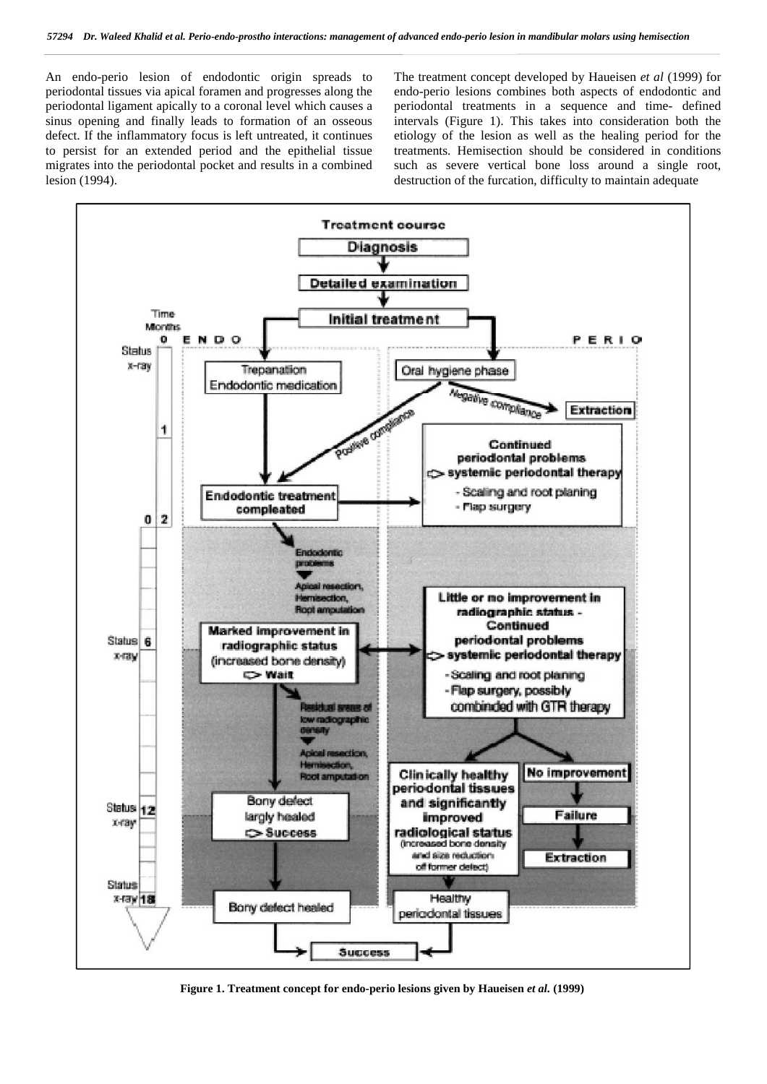An endo-perio lesion of endodontic origin spreads to periodontal tissues via apical foramen and progresses along the periodontal ligament apically to a coronal level which causes a sinus opening and finally leads to formation of an osseous defect. If the inflammatory focus is left untreated, it continues to persist for an extended period and the epithelial tissue migrates into the periodontal pocket and results in a combined lesion (1994).

The treatment concept developed by Haueisen *et al* (1999) for endo-perio lesions combines both aspects of endodontic and periodontal treatments in a sequence and time- defined intervals (Figure 1). This takes into consideration both the etiology of the lesion as well as the healing period for the treatments. Hemisection should be considered in conditions such as severe vertical bone loss around a single root, destruction of the furcation, difficulty to maintain adequate



**Figure 1. Treatment concept for endo-perio lesions given by Haueisen** *et al.***(1999)**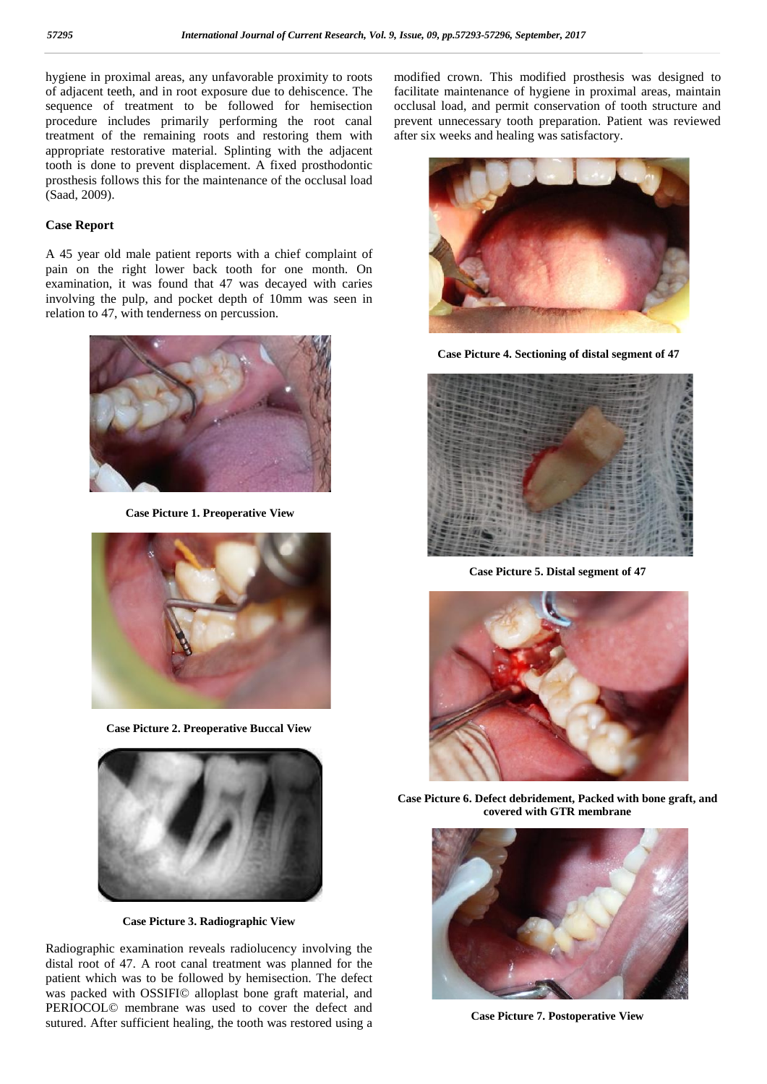hygiene in proximal areas, any unfavorable proximity to roots of adjacent teeth, and in root exposure due to dehiscence. The sequence of treatment to be followed for hemisection procedure includes primarily performing the root canal treatment of the remaining roots and restoring them with appropriate restorative material. Splinting with the adjacent tooth is done to prevent displacement. A fixed prosthodontic prosthesis follows this for the maintenance of the occlusal load (Saad, 2009).

## **Case Report**

A 45 year old male patient reports with a chief complaint of pain on the right lower back tooth for one month. On examination, it was found that 47 was decayed with caries involving the pulp, and pocket depth of 10mm was seen in relation to 47, with tenderness on percussion.



**Case Picture 1. Preoperative View**



**Case Picture 2. Preoperative Buccal View**



**Case Picture 3. Radiographic View**

Radiographic examination reveals radiolucency involving the distal root of 47. A root canal treatment was planned for the patient which was to be followed by hemisection. The defect was packed with OSSIFI© alloplast bone graft material, and PERIOCOL© membrane was used to cover the defect and sutured. After sufficient healing, the tooth was restored using a

modified crown. This modified prosthesis was designed to facilitate maintenance of hygiene in proximal areas, maintain occlusal load, and permit conservation of tooth structure and prevent unnecessary tooth preparation. Patient was reviewed after six weeks and healing was satisfactory.



**Case Picture 4. Sectioning of distal segment of 47**



**Case Picture 5. Distal segment of 47**



**Case Picture 6. Defect debridement, Packed with bone graft, and covered with GTR membrane**



**Case Picture 7. Postoperative View**